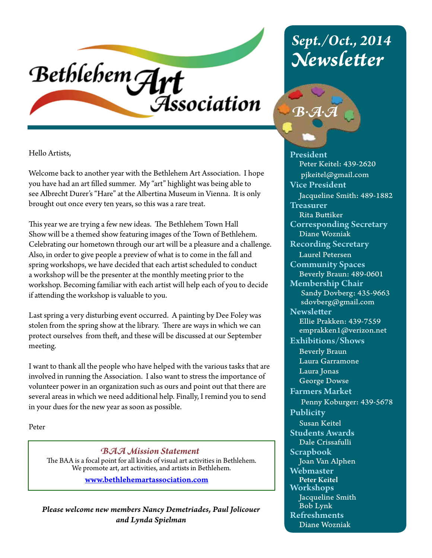# Bethlehem Art Association

Hello Artists,

Welcome back to another year with the Bethlehem Art Association. I hope you have had an art filled summer. My "art" highlight was being able to see Albrecht Durer's "Hare" at the Albertina Museum in Vienna. It is only brought out once every ten years, so this was a rare treat.

This year we are trying a few new ideas. The Bethlehem Town Hall Show will be a themed show featuring images of the Town of Bethlehem. Celebrating our hometown through our art will be a pleasure and a challenge. Also, in order to give people a preview of what is to come in the fall and spring workshops, we have decided that each artist scheduled to conduct a workshop will be the presenter at the monthly meeting prior to the workshop. Becoming familiar with each artist will help each of you to decide if attending the workshop is valuable to you.

Last spring a very disturbing event occurred. A painting by Dee Foley was stolen from the spring show at the library. There are ways in which we can protect ourselves from theft, and these will be discussed at our September meeting.

I want to thank all the people who have helped with the various tasks that are involved in running the Association. I also want to stress the importance of volunteer power in an organization such as ours and point out that there are several areas in which we need additional help. Finally, I remind you to send in your dues for the new year as soon as possible.

Peter

*BAA Mission Statement* The BAA is a focal point for all kinds of visual art activities in Bethlehem. We promote art, art activities, and artists in Bethlehem.

www.bethlehemartassociation.com

*Please welcome new members Nancy Demetriades, Paul Jolicouer and Lynda Spielman*

# *Sept./Oct., 2014 Newsletter*



President Peter Keitel: 439-2620 pjkeitel@gmail.com Vice President Jacqueline Smith: 489-1882 **Treasurer**  Rita Buttiker Corresponding Secretary Diane Wozniak Recording Secretary Laurel Petersen Community Spaces Beverly Braun: 489-0601 Membership Chair Sandy Dovberg: 435-9663 sdovberg@gmail.com **Newsletter**  Ellie Prakken: 439-7559 emprakken1@verizon.net Exhibitions/Shows Beverly Braun Laura Garramone Laura Jonas George Dowse Farmers Market Penny Koburger: 439-5678 Publicity Susan Keitel Students Awards Dale Crissafulli Scrapbook Joan Van Alphen Webmaster Peter Keitel Workshops Jacqueline Smith Bob Lynk Refreshments Diane Wozniak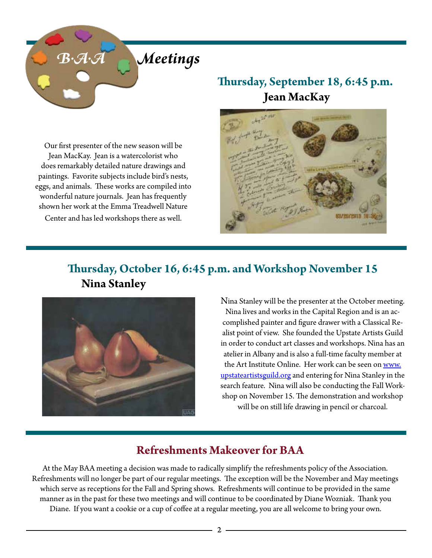

#### **Thursday, September 18, 6:45 p.m. Jean MacKay**





#### **Thursday, October 16, 6:45 p.m. and Workshop November 15 Nina Stanley**



Nina Stanley will be the presenter at the October meeting. Nina lives and works in the Capital Region and is an accomplished painter and figure drawer with a Classical Realist point of view. She founded the Upstate Artists Guild in order to conduct art classes and workshops. Nina has an atelier in Albany and is also a full-time faculty member at the Art Institute Online. Her work can be seen on www. upstateartistsguild.org and entering for Nina Stanley in the search feature. Nina will also be conducting the Fall Workshop on November 15. The demonstration and workshop will be on still life drawing in pencil or charcoal.

#### **Refreshments Makeover for BAA**

At the May BAA meeting a decision was made to radically simplify the refreshments policy of the Association. Refreshments will no longer be part of our regular meetings. The exception will be the November and May meetings which serve as receptions for the Fall and Spring shows. Refreshments will continue to be provided in the same manner as in the past for these two meetings and will continue to be coordinated by Diane Wozniak. Thank you Diane. If you want a cookie or a cup of coffee at a regular meeting, you are all welcome to bring your own.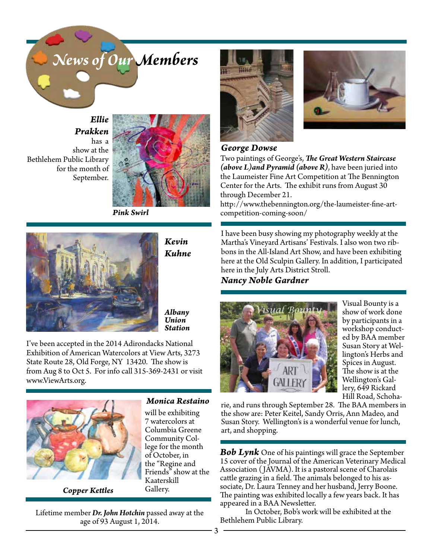

*Ellie Prakken* has a show at the Bethlehem Public Library for the month of

September.



*Pink Swirl*



*Kevin Kuhne*

*Albany Union Station*

I've been accepted in the 2014 Adirondacks National Exhibition of American Watercolors at View Arts, 3273 State Route 28, Old Forge, NY 13420. The show is from Aug 8 to Oct 5. For info call 315-369-2431 or visit www.ViewArts.org.



*Copper Kettles*

*Monica Restaino*

will be exhibiting 7 watercolors at Columbia Greene Community College for the month of October, in the "Regine and Friends" show at the Kaaterskill Gallery.

Lifetime member *Dr. John Hotchin* passed away at the age of 93 August 1, 2014.





#### *George Dowse*

Two paintings of George's, *The Great Western Staircase (above L)and Pyramid (above R)*, have been juried into the Laumeister Fine Art Competition at The Bennington Center for the Arts. The exhibit runs from August 30 through December 21.

http://www.thebennington.org/the-laumeister-fine-artcompetition-coming-soon/

I have been busy showing my photography weekly at the Martha's Vineyard Artisans' Festivals. I also won two ribbons in the All-Island Art Show, and have been exhibiting here at the Old Sculpin Gallery. In addition, I participated here in the July Arts District Stroll.

*Nancy Noble Gardner*



Visual Bounty is a show of work done by participants in a workshop conducted by BAA member Susan Story at Wellington's Herbs and Spices in August. The show is at the Wellington's Gallery, 649 Rickard Hill Road, Schoha-

rie, and runs through September 28. The BAA members in the show are: Peter Keitel, Sandy Orris, Ann Madeo, and Susan Story. Wellington's is a wonderful venue for lunch, art, and shopping.

*Bob Lynk* One of his paintings will grace the September 15 cover of the Journal of the American Veterinary Medical Association (JAVMA). It is a pastoral scene of Charolais cattle grazing in a field. The animals belonged to his associate, Dr. Laura Tenney and her husband, Jerry Boone. The painting was exhibited locally a few years back. It has appeared in a BAA Newsletter.

In October, Bob's work will be exhibited at the Bethlehem Public Library.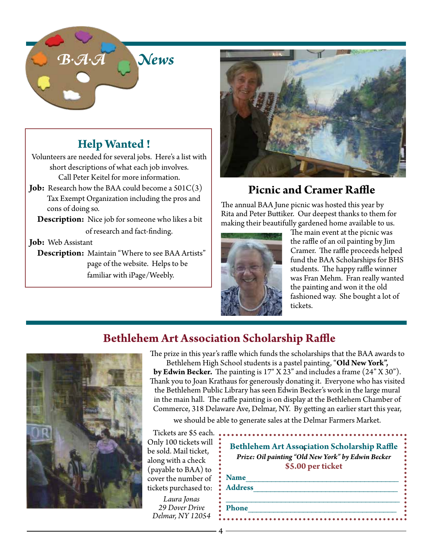

### **Help Wanted !**

Volunteers are needed for several jobs. Here's a list with short descriptions of what each job involves. Call Peter Keitel for more information.

**Job:** Research how the BAA could become a 501C(3) Tax Exempt Organization including the pros and cons of doing so.

**Description:** Nice job for someone who likes a bit

of research and fact-finding.

#### **Job:** Web Assistant

 **Description:** Maintain "Where to see BAA Artists" page of the website. Helps to be familiar with iPage/Weebly.



#### **Picnic and Cramer Raffle**

The annual BAA June picnic was hosted this year by Rita and Peter Buttiker. Our deepest thanks to them for making their beautifully gardened home available to us.



The main event at the picnic was the raffle of an oil painting by Jim Cramer. The raffle proceeds helped fund the BAA Scholarships for BHS students. The happy raffle winner was Fran Mehm. Fran really wanted the painting and won it the old fashioned way. She bought a lot of tickets.

#### **Bethlehem Art Association Scholarship Raffle**



The prize in this year's raffle which funds the scholarships that the BAA awards to Bethlehem High School students is a pastel painting, "**Old New York", by Edwin Becker.** The painting is 17" X 23" and includes a frame (24" X 30"). Thank you to Joan Krathaus for generously donating it. Everyone who has visited the Bethlehem Public Library has seen Edwin Becker's work in the large mural in the main hall. The raffle painting is on display at the Bethlehem Chamber of Commerce, 318 Delaware Ave, Delmar, NY. By getting an earlier start this year,

we should be able to generate sales at the Delmar Farmers Market.

Tickets are \$5 each. Only 100 tickets will be sold. Mail ticket, along with a check (payable to BAA) to cover the number of tickets purchased to:

*Laura Jonas 29 Dover Drive Delmar, NY 12054*

|                | <b>Bethlehem Art Association Scholarship Raffle</b><br>Prize: Oil painting "Old New York" by Edwin Becker<br>\$5.00 per ticket |
|----------------|--------------------------------------------------------------------------------------------------------------------------------|
| <b>Name</b>    |                                                                                                                                |
| <b>Address</b> |                                                                                                                                |
| <b>Phone</b>   |                                                                                                                                |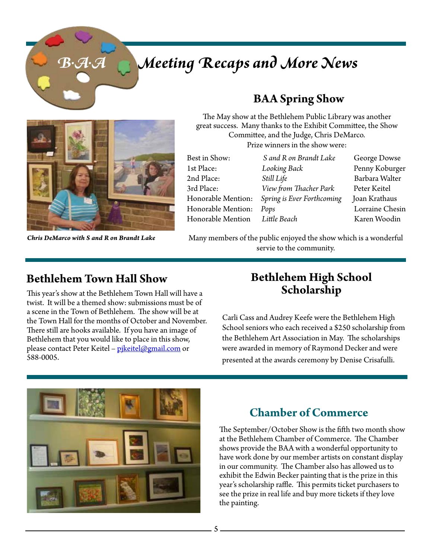# *B.A.A Meeting Recaps and More News*



#### **BAA Spring Show**

The May show at the Bethlehem Public Library was another great success. Many thanks to the Exhibit Committee, the Show Committee, and the Judge, Chris DeMarco. Prize winners in the show were:

| Best in Show:      |
|--------------------|
| 1st Place:         |
| 2nd Place:         |
| 3rd Place:         |
| Honorable Mention: |
| Honorable Mention: |
| Honorable Mention  |

**1988** Looking Back **Penny Koburger** 2nd Place: *Still Life* Barbara Walter View from Thacher Park Peter Keitel Spring is Ever Forthcoming Joan Krathaus Pops **Lorraine Chesin** Honorable Mention *Little Beach* Karen Woodin

S and R on Brandt Lake George Dowse

*Chris DeMarco with S and R on Brandt Lake* Many members of the public enjoyed the show which is a wonderful servie to the community.

This year's show at the Bethlehem Town Hall will have a twist. It will be a themed show: submissions must be of a scene in the Town of Bethlehem. The show will be at the Town Hall for the months of October and November. There still are hooks available. If you have an image of Bethlehem that you would like to place in this show, please contact Peter Keitel - pikeitel@gmail.com or 588-0005.

#### **Bethlehem Town Hall Show Bethlehem High School Scholarship**

Carli Cass and Audrey Keefe were the Bethlehem High School seniors who each received a \$250 scholarship from the Bethlehem Art Association in May. The scholarships were awarded in memory of Raymond Decker and were presented at the awards ceremony by Denise Crisafulli.



#### **Chamber of Commerce**

The September/October Show is the fifth two month show at the Bethlehem Chamber of Commerce. The Chamber shows provide the BAA with a wonderful opportunity to have work done by our member artists on constant display in our community. The Chamber also has allowed us to exhibit the Edwin Becker painting that is the prize in this year's scholarship raffle. This permits ticket purchasers to see the prize in real life and buy more tickets if they love the painting.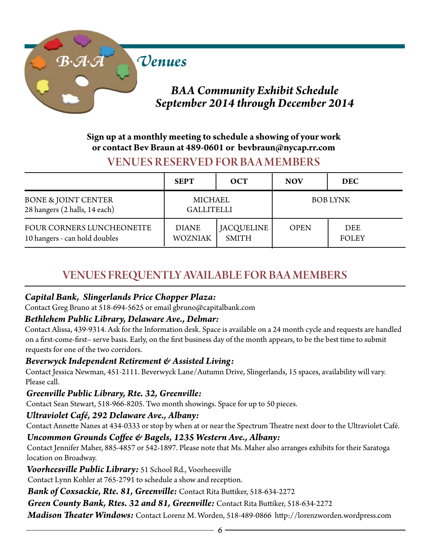

#### **Sign up at a monthly meeting to schedule a showing of your work or contact Bev Braun at 489-0601 or bevbraun@nycap.rr.com**

#### VENUES RESERVED FOR BA A MEMBERS

|                                                                 | <b>SEPT</b>                    | <b>OCT</b>                 | <b>NOV</b>      | <b>DEC</b>                 |
|-----------------------------------------------------------------|--------------------------------|----------------------------|-----------------|----------------------------|
| <b>BONE &amp; JOINT CENTER</b><br>28 hangers (2 halls, 14 each) | MICHAEL<br><b>GALLITELLI</b>   |                            | <b>BOB LYNK</b> |                            |
| FOUR CORNERS LUNCHEONETTE<br>10 hangers - can hold doubles      | <b>DIANE</b><br><b>WOZNIAK</b> | JACQUELINE<br><b>SMITH</b> | <b>OPEN</b>     | <b>DEE</b><br><b>FOLEY</b> |

#### VENUES FREQUENTLY AVAILABLE FOR BAA MEMBERS

#### *Capital Bank, Slingerlands Price Chopper Plaza:*

Contact Greg Bruno at 518-694-5625 or email gbruno@capitalbank.com

#### *Bethlehem Public Library, Delaware Ave., Delmar:*

Contact Alissa, 439-9314. Ask for the Information desk. Space is available on a 24 month cycle and requests are handled on a first-come-first– serve basis. Early, on the first business day of the month appears, to be the best time to submit requests for one of the two corridors.

#### *Beverwyck Independent Retirement & Assisted Living:*

Contact Jessica Newman, 451-2111. Beverwyck Lane/Autumn Drive, Slingerlands, 15 spaces, availability will vary. Please call.

#### *Greenville Public Library, Rte. 32, Greenville:*

Contact Sean Stewart, 518-966-8205. Two month showings. Space for up to 50 pieces.

#### *Ultraviolet Café, 292 Delaware Ave., Albany:*

Contact Annette Nanes at 434-0333 or stop by when at or near the Spectrum Theatre next door to the Ultraviolet Café.

#### *Uncommon Grounds Coffee & Bagels, 1235 Western Ave., Albany:*

Contact Jennifer Maher, 885-4857 or 542-1897. Please note that Ms. Maher also arranges exhibits for their Saratoga location on Broadway.

*Voorheesville Public Library:* 51 School Rd., Voorheesville

Contact Lynn Kohler at 765-2791 to schedule a show and reception.

*Bank of Coxsackie, Rte. 81, Greenville:* Contact Rita Buttiker, 518-634-2272

*Green County Bank, Rtes. 32 and 81, Greenville:* Contact Rita Buttiker, 518-634-2272

*Madison Theater Windows:* Contact Lorenz M. Worden, 518-489-0866 http://lorenzworden.wordpress.com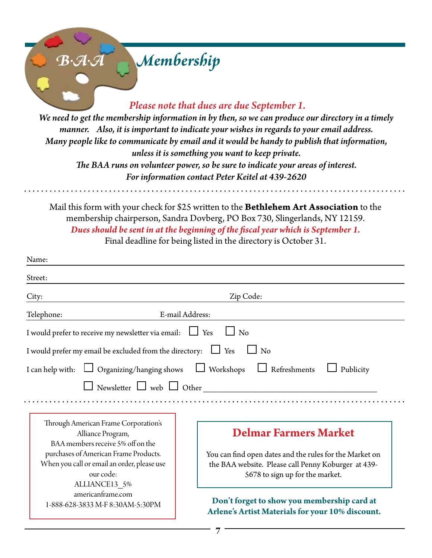# *B.A.A Membership Please note that dues are due September 1. We need to get the membership information in by then, so we can produce our directory in a timely manner. Also, it is important to indicate your wishes in regards to your email address. Many people like to communicate by email and it would be handy to publish that information, unless it is something you want to keep private.*

*The BAA runs on volunteer power, so be sure to indicate your areas of interest. For information contact Peter Keitel at 439-2620*

Mail this form with your check for \$25 written to the **Bethlehem Art Association** to the membership chairperson, Sandra Dovberg, PO Box 730, Slingerlands, NY 12159. *Dues should be sent in at the beginning of the fiscal year which is September 1.*  Final deadline for being listed in the directory is October 31.

| Name:                                                              |                                                         |  |  |  |  |
|--------------------------------------------------------------------|---------------------------------------------------------|--|--|--|--|
| Street:                                                            |                                                         |  |  |  |  |
| City:                                                              | Zip Code:                                               |  |  |  |  |
| Telephone:                                                         | E-mail Address:                                         |  |  |  |  |
| I would prefer to receive my newsletter via email: $\Box$ Yes      | $\Box$ No                                               |  |  |  |  |
| I would prefer my email be excluded from the directory: $\Box$ Yes | $\overline{N}$                                          |  |  |  |  |
| I can help with: $\Box$ Organizing/hanging shows $\Box$ Workshops  | $\Box$ Refreshments<br>Publicity                        |  |  |  |  |
|                                                                    | $\Box$ Newsletter $\Box$ web $\Box$ Other               |  |  |  |  |
|                                                                    |                                                         |  |  |  |  |
| Through American Frame Corporation's                               |                                                         |  |  |  |  |
| Alliance Program,<br>BAA members receive 5% off on the             | <b>Delmar Farmers Market</b>                            |  |  |  |  |
| purchases of American Frame Products.                              | You can find open dates and the rules for the Market on |  |  |  |  |
| When you call or email an order, please use                        | the BAA website. Please call Penny Koburger at 439-     |  |  |  |  |
| our code:                                                          | 5678 to sign up for the market.                         |  |  |  |  |
| ALLIANCE13_5%<br>americanframe.com                                 |                                                         |  |  |  |  |
| 1-888-628-3833 M-F 8:30AM-5:30PM                                   | Don't forget to show you membership card at             |  |  |  |  |
|                                                                    | Arlene's Artist Materials for your 10% discount.        |  |  |  |  |